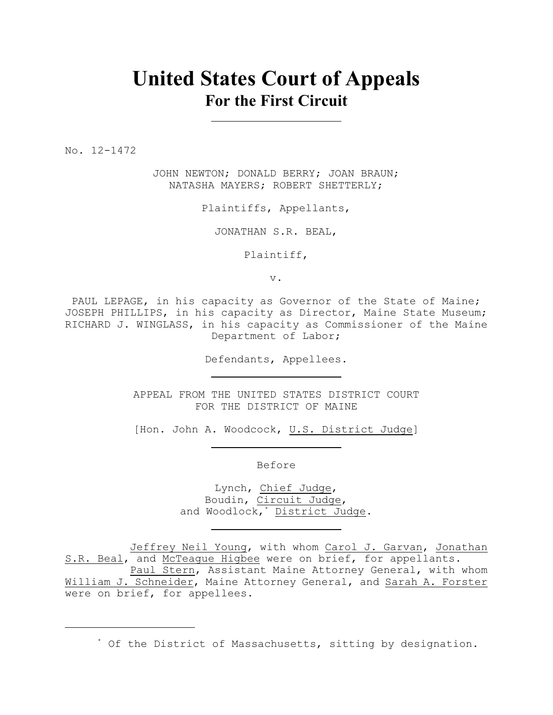# **United States Court of Appeals For the First Circuit**

No. 12-1472

JOHN NEWTON; DONALD BERRY; JOAN BRAUN; NATASHA MAYERS; ROBERT SHETTERLY;

Plaintiffs, Appellants,

JONATHAN S.R. BEAL,

Plaintiff,

v.

PAUL LEPAGE, in his capacity as Governor of the State of Maine; JOSEPH PHILLIPS, in his capacity as Director, Maine State Museum; RICHARD J. WINGLASS, in his capacity as Commissioner of the Maine Department of Labor;

Defendants, Appellees.

APPEAL FROM THE UNITED STATES DISTRICT COURT FOR THE DISTRICT OF MAINE

[Hon. John A. Woodcock, U.S. District Judge]

Before

Lynch, Chief Judge, Boudin, Circuit Judge, and Woodlock,<sup>\*</sup> District Judge.

Jeffrey Neil Young, with whom Carol J. Garvan, Jonathan S.R. Beal, and McTeague Higbee were on brief, for appellants.

Paul Stern, Assistant Maine Attorney General, with whom William J. Schneider, Maine Attorney General, and Sarah A. Forster were on brief, for appellees.

 $*$  Of the District of Massachusetts, sitting by designation.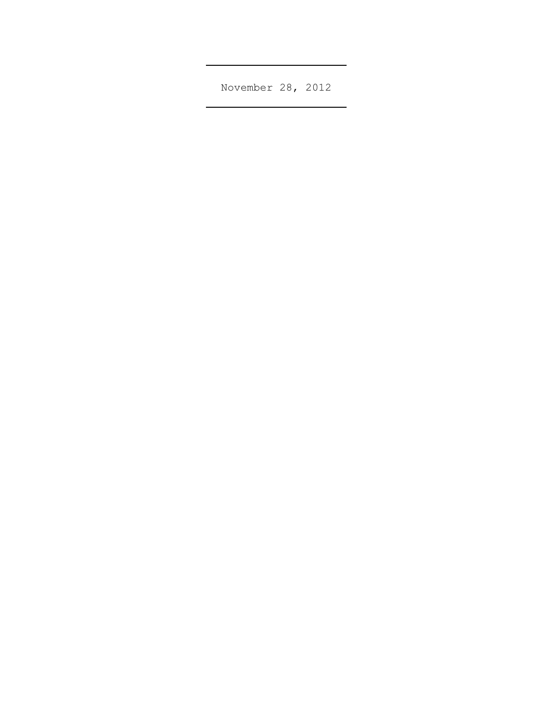November 28, 2012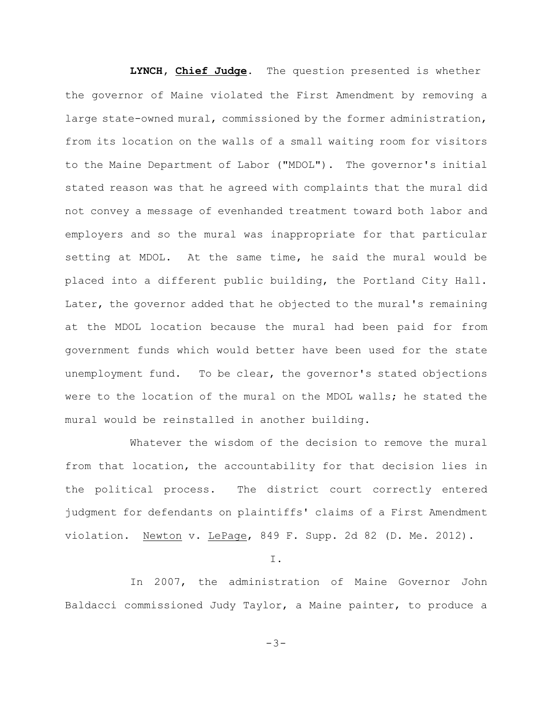**LYNCH, Chief Judge**. The question presented is whether the governor of Maine violated the First Amendment by removing a large state-owned mural, commissioned by the former administration, from its location on the walls of a small waiting room for visitors to the Maine Department of Labor ("MDOL"). The governor's initial stated reason was that he agreed with complaints that the mural did not convey a message of evenhanded treatment toward both labor and employers and so the mural was inappropriate for that particular setting at MDOL. At the same time, he said the mural would be placed into a different public building, the Portland City Hall. Later, the governor added that he objected to the mural's remaining at the MDOL location because the mural had been paid for from government funds which would better have been used for the state unemployment fund. To be clear, the governor's stated objections were to the location of the mural on the MDOL walls; he stated the mural would be reinstalled in another building.

Whatever the wisdom of the decision to remove the mural from that location, the accountability for that decision lies in the political process. The district court correctly entered judgment for defendants on plaintiffs' claims of a First Amendment violation. Newton v. LePage, 849 F. Supp. 2d 82 (D. Me. 2012).

I.

In 2007, the administration of Maine Governor John Baldacci commissioned Judy Taylor, a Maine painter, to produce a

-3-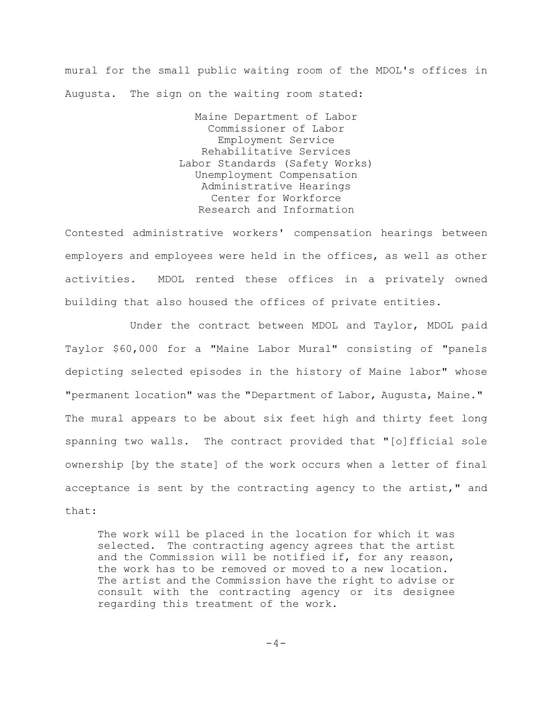mural for the small public waiting room of the MDOL's offices in Augusta. The sign on the waiting room stated:

> Maine Department of Labor Commissioner of Labor Employment Service Rehabilitative Services Labor Standards (Safety Works) Unemployment Compensation Administrative Hearings Center for Workforce Research and Information

Contested administrative workers' compensation hearings between employers and employees were held in the offices, as well as other activities. MDOL rented these offices in a privately owned building that also housed the offices of private entities.

Under the contract between MDOL and Taylor, MDOL paid Taylor \$60,000 for a "Maine Labor Mural" consisting of "panels depicting selected episodes in the history of Maine labor" whose "permanent location" was the "Department of Labor, Augusta, Maine." The mural appears to be about six feet high and thirty feet long spanning two walls. The contract provided that "[o]fficial sole ownership [by the state] of the work occurs when a letter of final acceptance is sent by the contracting agency to the artist," and that:

The work will be placed in the location for which it was selected. The contracting agency agrees that the artist and the Commission will be notified if, for any reason, the work has to be removed or moved to a new location. The artist and the Commission have the right to advise or consult with the contracting agency or its designee regarding this treatment of the work.

 $-4-$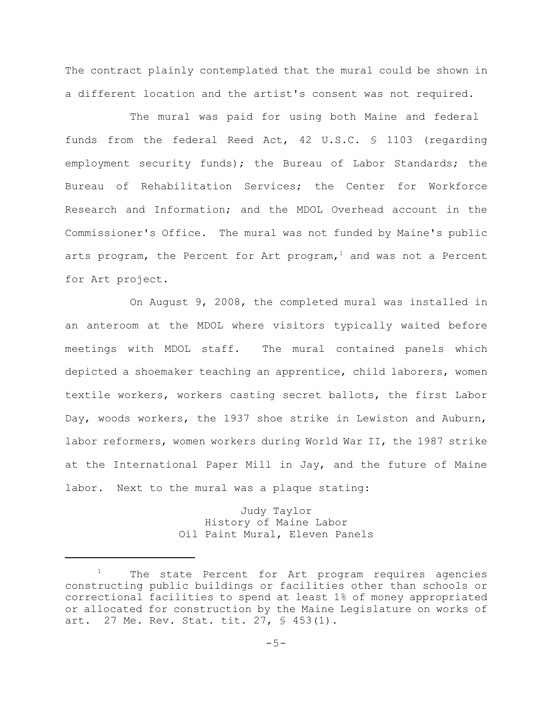The contract plainly contemplated that the mural could be shown in a different location and the artist's consent was not required.

The mural was paid for using both Maine and federal funds from the federal Reed Act, 42 U.S.C. § 1103 (regarding employment security funds); the Bureau of Labor Standards; the Bureau of Rehabilitation Services; the Center for Workforce Research and Information; and the MDOL Overhead account in the Commissioner's Office. The mural was not funded by Maine's public arts program, the Percent for Art program, $<sup>1</sup>$  and was not a Percent</sup> for Art project.

On August 9, 2008, the completed mural was installed in an anteroom at the MDOL where visitors typically waited before meetings with MDOL staff. The mural contained panels which depicted a shoemaker teaching an apprentice, child laborers, women textile workers, workers casting secret ballots, the first Labor Day, woods workers, the 1937 shoe strike in Lewiston and Auburn, labor reformers, women workers during World War II, the 1987 strike at the International Paper Mill in Jay, and the future of Maine labor. Next to the mural was a plaque stating:

> Judy Taylor History of Maine Labor Oil Paint Mural, Eleven Panels

The state Percent for Art program requires agencies constructing public buildings or facilities other than schools or correctional facilities to spend at least 1% of money appropriated or allocated for construction by the Maine Legislature on works of art. 27 Me. Rev. Stat. tit. 27, § 453(1).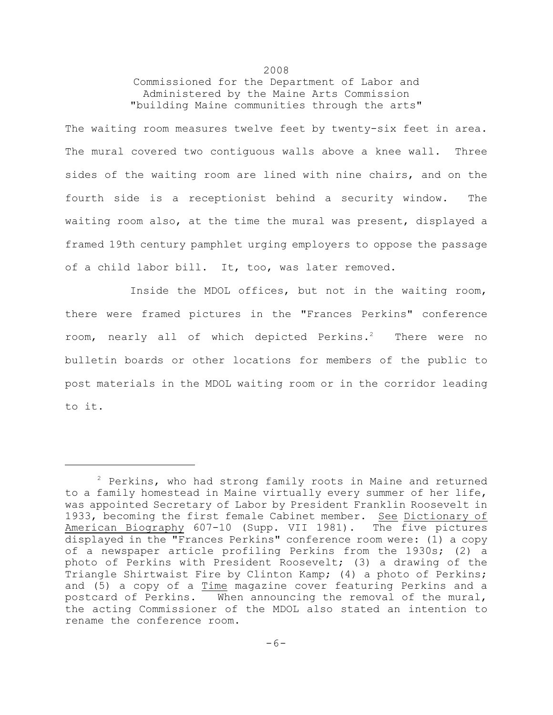Commissioned for the Department of Labor and Administered by the Maine Arts Commission "building Maine communities through the arts"

2008

The waiting room measures twelve feet by twenty-six feet in area. The mural covered two contiguous walls above a knee wall. Three sides of the waiting room are lined with nine chairs, and on the fourth side is a receptionist behind a security window. The waiting room also, at the time the mural was present, displayed a framed 19th century pamphlet urging employers to oppose the passage of a child labor bill. It, too, was later removed.

Inside the MDOL offices, but not in the waiting room, there were framed pictures in the "Frances Perkins" conference room, nearly all of which depicted Perkins.<sup>2</sup> There were no bulletin boards or other locations for members of the public to post materials in the MDOL waiting room or in the corridor leading to it.

 $2$  Perkins, who had strong family roots in Maine and returned to a family homestead in Maine virtually every summer of her life, was appointed Secretary of Labor by President Franklin Roosevelt in 1933, becoming the first female Cabinet member. See Dictionary of American Biography 607-10 (Supp. VII 1981). The five pictures displayed in the "Frances Perkins" conference room were: (1) a copy of a newspaper article profiling Perkins from the 1930s; (2) a photo of Perkins with President Roosevelt; (3) a drawing of the Triangle Shirtwaist Fire by Clinton Kamp; (4) a photo of Perkins; and (5) a copy of a Time magazine cover featuring Perkins and a postcard of Perkins. When announcing the removal of the mural, the acting Commissioner of the MDOL also stated an intention to rename the conference room.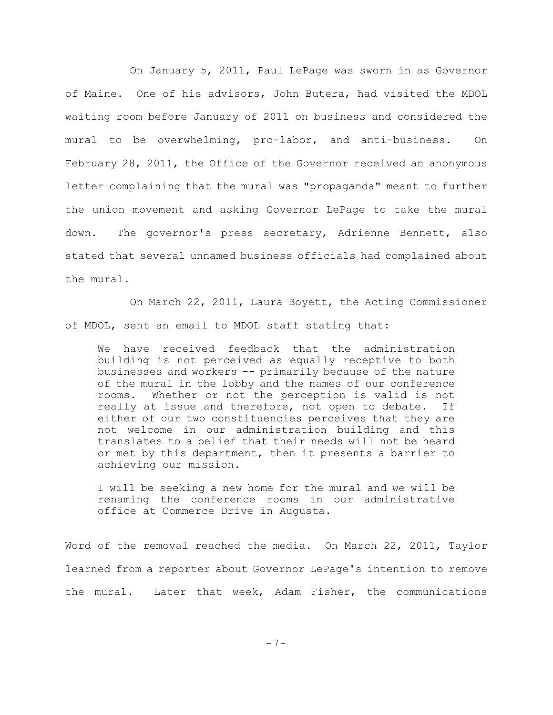On January 5, 2011, Paul LePage was sworn in as Governor of Maine. One of his advisors, John Butera, had visited the MDOL waiting room before January of 2011 on business and considered the mural to be overwhelming, pro-labor, and anti-business. On February 28, 2011, the Office of the Governor received an anonymous letter complaining that the mural was "propaganda" meant to further the union movement and asking Governor LePage to take the mural down. The governor's press secretary, Adrienne Bennett, also stated that several unnamed business officials had complained about the mural.

On March 22, 2011, Laura Boyett, the Acting Commissioner of MDOL, sent an email to MDOL staff stating that:

We have received feedback that the administration building is not perceived as equally receptive to both businesses and workers -- primarily because of the nature of the mural in the lobby and the names of our conference rooms. Whether or not the perception is valid is not really at issue and therefore, not open to debate. If either of our two constituencies perceives that they are not welcome in our administration building and this translates to a belief that their needs will not be heard or met by this department, then it presents a barrier to achieving our mission.

I will be seeking a new home for the mural and we will be renaming the conference rooms in our administrative office at Commerce Drive in Augusta.

Word of the removal reached the media. On March 22, 2011, Taylor learned from a reporter about Governor LePage's intention to remove the mural. Later that week, Adam Fisher, the communications

 $-7-$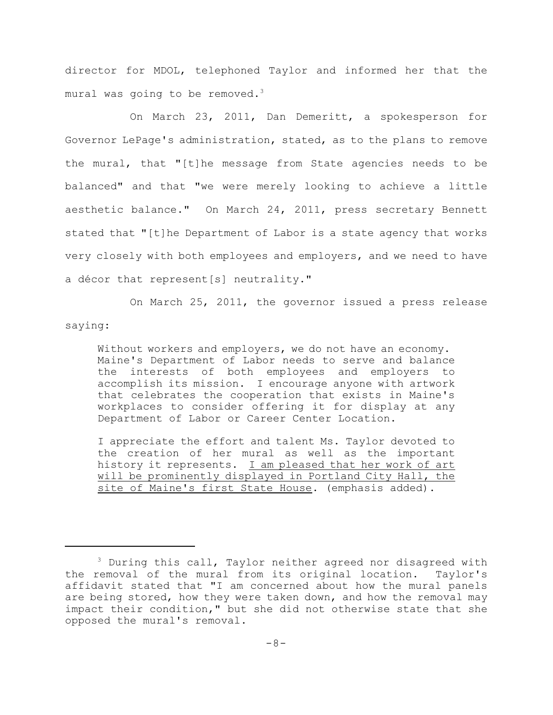director for MDOL, telephoned Taylor and informed her that the mural was going to be removed.<sup>3</sup>

On March 23, 2011, Dan Demeritt, a spokesperson for Governor LePage's administration, stated, as to the plans to remove the mural, that "[t]he message from State agencies needs to be balanced" and that "we were merely looking to achieve a little aesthetic balance." On March 24, 2011, press secretary Bennett stated that "[t]he Department of Labor is a state agency that works very closely with both employees and employers, and we need to have a décor that represent[s] neutrality."

On March 25, 2011, the governor issued a press release saying:

Without workers and employers, we do not have an economy. Maine's Department of Labor needs to serve and balance the interests of both employees and employers to accomplish its mission. I encourage anyone with artwork that celebrates the cooperation that exists in Maine's workplaces to consider offering it for display at any Department of Labor or Career Center Location.

I appreciate the effort and talent Ms. Taylor devoted to the creation of her mural as well as the important history it represents. I am pleased that her work of art will be prominently displayed in Portland City Hall, the site of Maine's first State House. (emphasis added).

 $3$  During this call, Taylor neither agreed nor disagreed with the removal of the mural from its original location. Taylor's affidavit stated that "I am concerned about how the mural panels are being stored, how they were taken down, and how the removal may impact their condition," but she did not otherwise state that she opposed the mural's removal.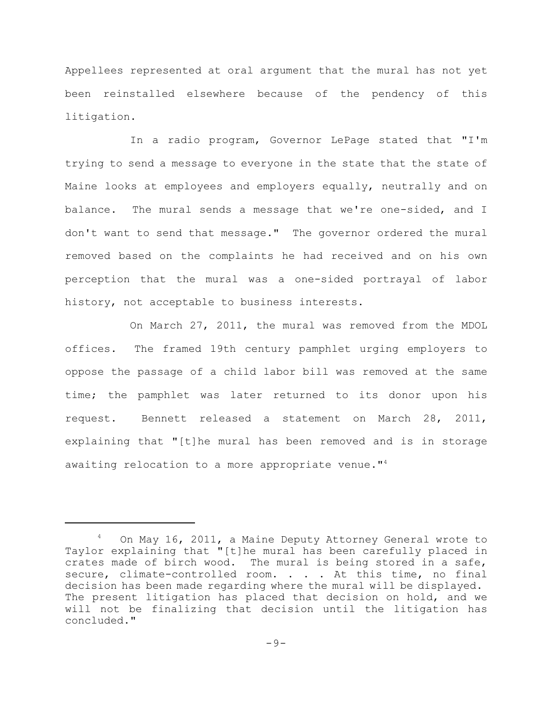Appellees represented at oral argument that the mural has not yet been reinstalled elsewhere because of the pendency of this litigation.

In a radio program, Governor LePage stated that "I'm trying to send a message to everyone in the state that the state of Maine looks at employees and employers equally, neutrally and on balance. The mural sends a message that we're one-sided, and I don't want to send that message." The governor ordered the mural removed based on the complaints he had received and on his own perception that the mural was a one-sided portrayal of labor history, not acceptable to business interests.

On March 27, 2011, the mural was removed from the MDOL offices. The framed 19th century pamphlet urging employers to oppose the passage of a child labor bill was removed at the same time; the pamphlet was later returned to its donor upon his request. Bennett released a statement on March 28, 2011, explaining that "[t]he mural has been removed and is in storage awaiting relocation to a more appropriate venue."<sup>4</sup>

On May 16, 2011, a Maine Deputy Attorney General wrote to <sup>4</sup> Taylor explaining that "[t]he mural has been carefully placed in crates made of birch wood. The mural is being stored in a safe, secure, climate-controlled room. . . . At this time, no final decision has been made regarding where the mural will be displayed. The present litigation has placed that decision on hold, and we will not be finalizing that decision until the litigation has concluded."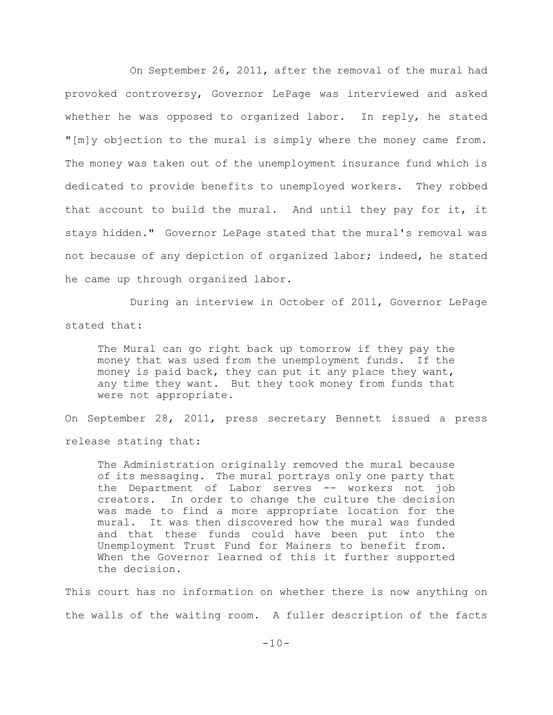On September 26, 2011, after the removal of the mural had provoked controversy, Governor LePage was interviewed and asked whether he was opposed to organized labor. In reply, he stated "[m]y objection to the mural is simply where the money came from. The money was taken out of the unemployment insurance fund which is dedicated to provide benefits to unemployed workers. They robbed that account to build the mural. And until they pay for it, it stays hidden." Governor LePage stated that the mural's removal was not because of any depiction of organized labor; indeed, he stated he came up through organized labor.

During an interview in October of 2011, Governor LePage stated that:

The Mural can go right back up tomorrow if they pay the money that was used from the unemployment funds. If the money is paid back, they can put it any place they want, any time they want. But they took money from funds that were not appropriate.

On September 28, 2011, press secretary Bennett issued a press release stating that:

The Administration originally removed the mural because of its messaging. The mural portrays only one party that the Department of Labor serves -- workers not job creators. In order to change the culture the decision was made to find a more appropriate location for the mural. It was then discovered how the mural was funded and that these funds could have been put into the Unemployment Trust Fund for Mainers to benefit from. When the Governor learned of this it further supported the decision.

This court has no information on whether there is now anything on the walls of the waiting room. A fuller description of the facts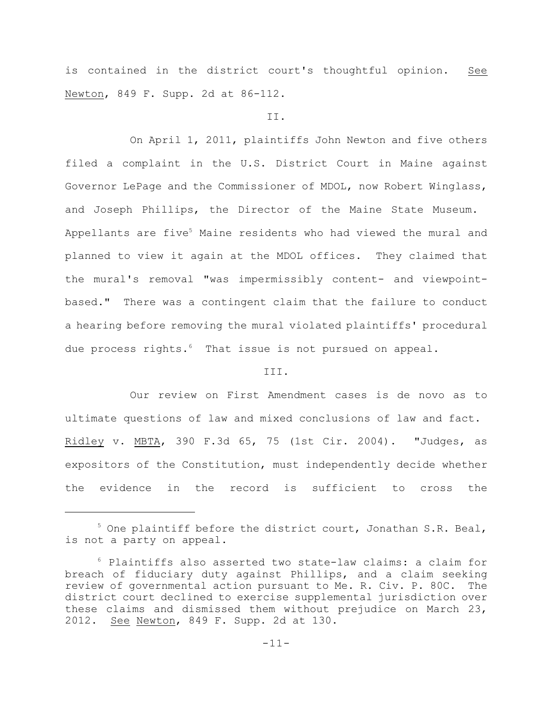is contained in the district court's thoughtful opinion. See Newton, 849 F. Supp. 2d at 86-112.

#### II.

On April 1, 2011, plaintiffs John Newton and five others filed a complaint in the U.S. District Court in Maine against Governor LePage and the Commissioner of MDOL, now Robert Winglass, and Joseph Phillips, the Director of the Maine State Museum. Appellants are five<sup>5</sup> Maine residents who had viewed the mural and planned to view it again at the MDOL offices. They claimed that the mural's removal "was impermissibly content- and viewpointbased." There was a contingent claim that the failure to conduct a hearing before removing the mural violated plaintiffs' procedural due process rights.<sup>6</sup> That issue is not pursued on appeal.

### III.

Our review on First Amendment cases is de novo as to ultimate questions of law and mixed conclusions of law and fact. Ridley v. MBTA, 390 F.3d 65, 75 (1st Cir. 2004). "Judges, as expositors of the Constitution, must independently decide whether the evidence in the record is sufficient to cross the

 $5$  One plaintiff before the district court, Jonathan S.R. Beal, is not a party on appeal.

 $6$  Plaintiffs also asserted two state-law claims: a claim for breach of fiduciary duty against Phillips, and a claim seeking review of governmental action pursuant to Me. R. Civ. P. 80C. The district court declined to exercise supplemental jurisdiction over these claims and dismissed them without prejudice on March 23, 2012. See Newton, 849 F. Supp. 2d at 130.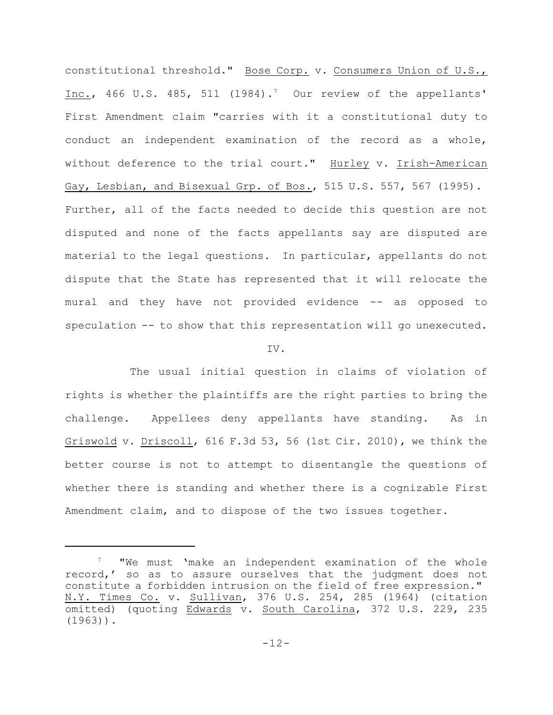constitutional threshold." Bose Corp. v. Consumers Union of U.S., Inc., 466 U.S. 485, 511 (1984).<sup>7</sup> Our review of the appellants' First Amendment claim "carries with it a constitutional duty to conduct an independent examination of the record as a whole, without deference to the trial court." Hurley v. Irish-American Gay, Lesbian, and Bisexual Grp. of Bos., 515 U.S. 557, 567 (1995). Further, all of the facts needed to decide this question are not disputed and none of the facts appellants say are disputed are material to the legal questions. In particular, appellants do not dispute that the State has represented that it will relocate the mural and they have not provided evidence -- as opposed to speculation -- to show that this representation will go unexecuted.

#### IV.

The usual initial question in claims of violation of rights is whether the plaintiffs are the right parties to bring the challenge. Appellees deny appellants have standing. As in Griswold v. Driscoll, 616 F.3d 53, 56 (1st Cir. 2010), we think the better course is not to attempt to disentangle the questions of whether there is standing and whether there is a cognizable First Amendment claim, and to dispose of the two issues together.

 $\frac{7}{10}$  "We must 'make an independent examination of the whole record,' so as to assure ourselves that the judgment does not constitute a forbidden intrusion on the field of free expression." N.Y. Times Co. v. Sullivan, 376 U.S. 254, 285 (1964) (citation omitted) (quoting Edwards v. South Carolina, 372 U.S. 229, 235  $(1963)$ .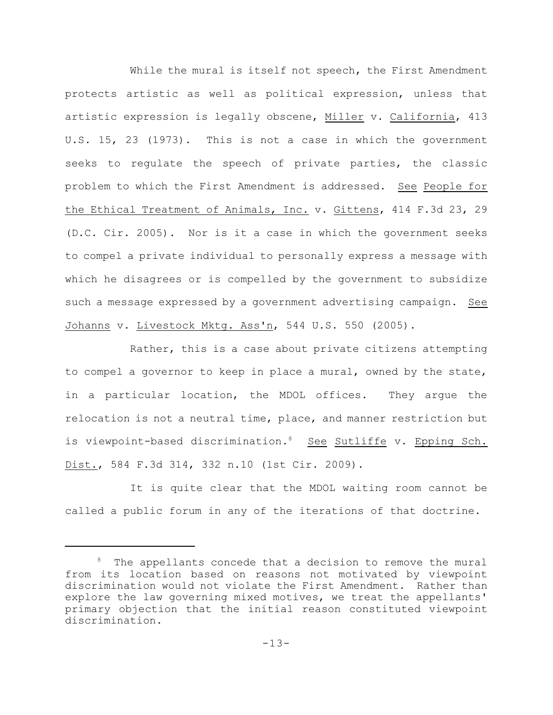While the mural is itself not speech, the First Amendment protects artistic as well as political expression, unless that artistic expression is legally obscene, Miller v. California, 413 U.S. 15, 23 (1973). This is not a case in which the government seeks to regulate the speech of private parties, the classic problem to which the First Amendment is addressed. See People for the Ethical Treatment of Animals, Inc. v. Gittens, 414 F.3d 23, 29 (D.C. Cir. 2005). Nor is it a case in which the government seeks to compel a private individual to personally express a message with which he disagrees or is compelled by the government to subsidize such a message expressed by a government advertising campaign. See Johanns v. Livestock Mktg. Ass'n, 544 U.S. 550 (2005).

Rather, this is a case about private citizens attempting to compel a governor to keep in place a mural, owned by the state, in a particular location, the MDOL offices. They argue the relocation is not a neutral time, place, and manner restriction but is viewpoint-based discrimination.<sup>8</sup> See Sutliffe v. Epping Sch. Dist., 584 F.3d 314, 332 n.10 (1st Cir. 2009).

It is quite clear that the MDOL waiting room cannot be called a public forum in any of the iterations of that doctrine.

The appellants concede that a decision to remove the mural from its location based on reasons not motivated by viewpoint discrimination would not violate the First Amendment. Rather than explore the law governing mixed motives, we treat the appellants' primary objection that the initial reason constituted viewpoint discrimination.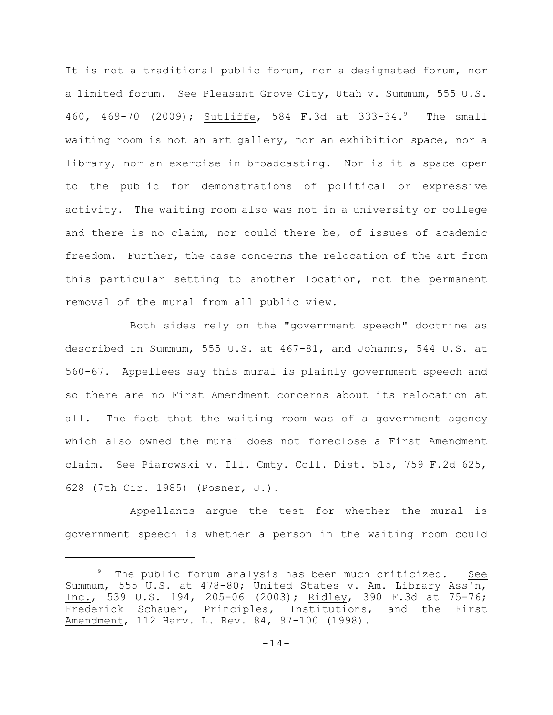It is not a traditional public forum, nor a designated forum, nor a limited forum. See Pleasant Grove City, Utah v. Summum, 555 U.S. 460, 469-70 (2009); Sutliffe, 584 F.3d at 333-34.<sup>9</sup> The small waiting room is not an art gallery, nor an exhibition space, nor a library, nor an exercise in broadcasting. Nor is it a space open to the public for demonstrations of political or expressive activity. The waiting room also was not in a university or college and there is no claim, nor could there be, of issues of academic freedom. Further, the case concerns the relocation of the art from this particular setting to another location, not the permanent removal of the mural from all public view.

Both sides rely on the "government speech" doctrine as described in Summum, 555 U.S. at 467-81, and Johanns, 544 U.S. at 560-67. Appellees say this mural is plainly government speech and so there are no First Amendment concerns about its relocation at all. The fact that the waiting room was of a government agency which also owned the mural does not foreclose a First Amendment claim. See Piarowski v. Ill. Cmty. Coll. Dist. 515, 759 F.2d 625, 628 (7th Cir. 1985) (Posner, J.).

Appellants argue the test for whether the mural is government speech is whether a person in the waiting room could

<sup>&</sup>lt;sup>9</sup> The public forum analysis has been much criticized. See Summum, 555 U.S. at 478-80; United States v. Am. Library Ass'n, Inc., 539 U.S. 194, 205-06 (2003); Ridley, 390 F.3d at 75-76; Frederick Schauer, Principles, Institutions, and the First Amendment, 112 Harv. L. Rev. 84, 97-100 (1998).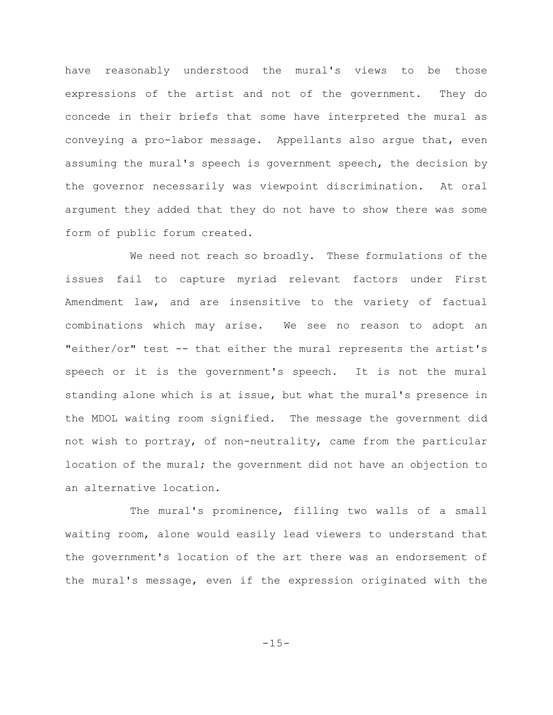have reasonably understood the mural's views to be those expressions of the artist and not of the government. They do concede in their briefs that some have interpreted the mural as conveying a pro-labor message. Appellants also argue that, even assuming the mural's speech is government speech, the decision by the governor necessarily was viewpoint discrimination. At oral argument they added that they do not have to show there was some form of public forum created.

We need not reach so broadly. These formulations of the issues fail to capture myriad relevant factors under First Amendment law, and are insensitive to the variety of factual combinations which may arise. We see no reason to adopt an "either/or" test -- that either the mural represents the artist's speech or it is the government's speech. It is not the mural standing alone which is at issue, but what the mural's presence in the MDOL waiting room signified. The message the government did not wish to portray, of non-neutrality, came from the particular location of the mural; the government did not have an objection to an alternative location.

The mural's prominence, filling two walls of a small waiting room, alone would easily lead viewers to understand that the government's location of the art there was an endorsement of the mural's message, even if the expression originated with the

 $-15-$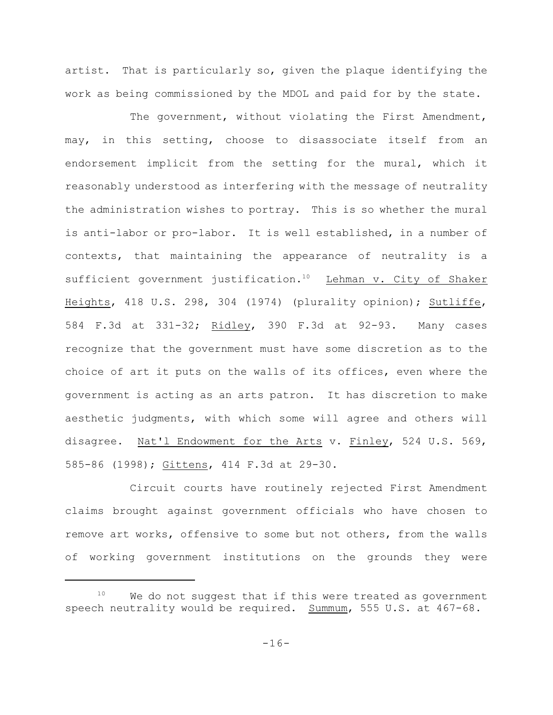artist. That is particularly so, given the plaque identifying the work as being commissioned by the MDOL and paid for by the state.

The government, without violating the First Amendment, may, in this setting, choose to disassociate itself from an endorsement implicit from the setting for the mural, which it reasonably understood as interfering with the message of neutrality the administration wishes to portray. This is so whether the mural is anti-labor or pro-labor. It is well established, in a number of contexts, that maintaining the appearance of neutrality is a sufficient government justification.<sup>10</sup> Lehman v. City of Shaker Heights, 418 U.S. 298, 304 (1974) (plurality opinion); Sutliffe, 584 F.3d at 331-32; Ridley, 390 F.3d at 92-93. Many cases recognize that the government must have some discretion as to the choice of art it puts on the walls of its offices, even where the government is acting as an arts patron. It has discretion to make aesthetic judgments, with which some will agree and others will disagree. Nat'l Endowment for the Arts v. Finley, 524 U.S. 569, 585-86 (1998); Gittens, 414 F.3d at 29-30.

Circuit courts have routinely rejected First Amendment claims brought against government officials who have chosen to remove art works, offensive to some but not others, from the walls of working government institutions on the grounds they were

 $10$  We do not suggest that if this were treated as government speech neutrality would be required. Summum, 555 U.S. at 467-68.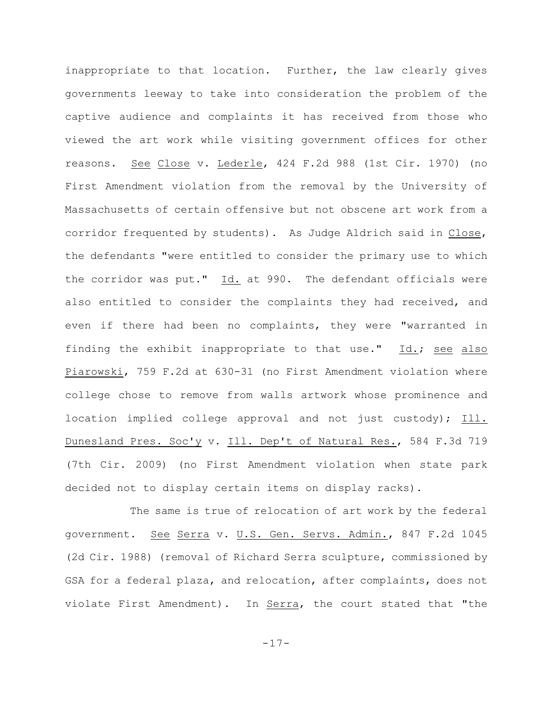inappropriate to that location. Further, the law clearly gives governments leeway to take into consideration the problem of the captive audience and complaints it has received from those who viewed the art work while visiting government offices for other reasons. See Close v. Lederle, 424 F.2d 988 (1st Cir. 1970) (no First Amendment violation from the removal by the University of Massachusetts of certain offensive but not obscene art work from a corridor frequented by students). As Judge Aldrich said in Close, the defendants "were entitled to consider the primary use to which the corridor was put." Id. at 990. The defendant officials were also entitled to consider the complaints they had received, and even if there had been no complaints, they were "warranted in finding the exhibit inappropriate to that use." Id.; see also Piarowski, 759 F.2d at 630-31 (no First Amendment violation where college chose to remove from walls artwork whose prominence and location implied college approval and not just custody); Ill. Dunesland Pres. Soc'y v. Ill. Dep't of Natural Res., 584 F.3d 719 (7th Cir. 2009) (no First Amendment violation when state park decided not to display certain items on display racks).

The same is true of relocation of art work by the federal government. See Serra v. U.S. Gen. Servs. Admin., 847 F.2d 1045 (2d Cir. 1988) (removal of Richard Serra sculpture, commissioned by GSA for a federal plaza, and relocation, after complaints, does not violate First Amendment). In Serra, the court stated that "the

-17-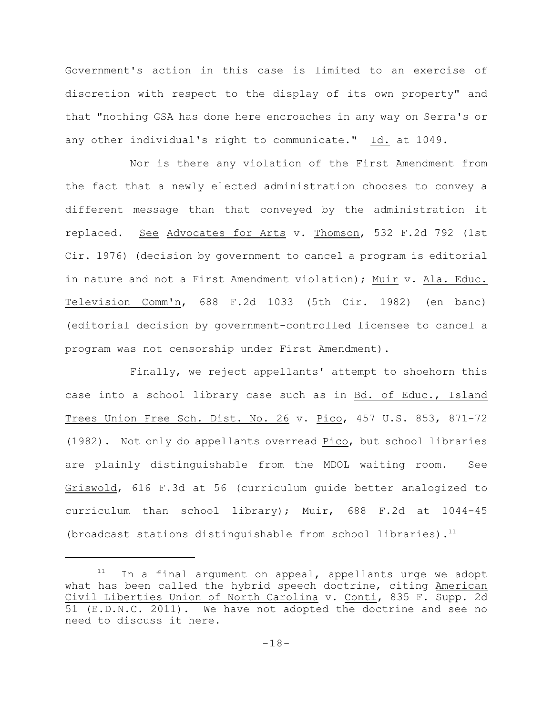Government's action in this case is limited to an exercise of discretion with respect to the display of its own property" and that "nothing GSA has done here encroaches in any way on Serra's or any other individual's right to communicate." Id. at 1049.

Nor is there any violation of the First Amendment from the fact that a newly elected administration chooses to convey a different message than that conveyed by the administration it replaced. See Advocates for Arts v. Thomson, 532 F.2d 792 (1st Cir. 1976) (decision by government to cancel a program is editorial in nature and not a First Amendment violation); Muir v. Ala. Educ. Television Comm'n, 688 F.2d 1033 (5th Cir. 1982) (en banc) (editorial decision by government-controlled licensee to cancel a program was not censorship under First Amendment).

Finally, we reject appellants' attempt to shoehorn this case into a school library case such as in Bd. of Educ., Island Trees Union Free Sch. Dist. No. 26 v. Pico, 457 U.S. 853, 871-72 (1982). Not only do appellants overread Pico, but school libraries are plainly distinguishable from the MDOL waiting room. See Griswold, 616 F.3d at 56 (curriculum guide better analogized to curriculum than school library); Muir, 688 F.2d at 1044-45 (broadcast stations distinguishable from school libraries). $11$ 

 $11$  In a final argument on appeal, appellants urge we adopt what has been called the hybrid speech doctrine, citing American Civil Liberties Union of North Carolina v. Conti, 835 F. Supp. 2d 51 (E.D.N.C. 2011). We have not adopted the doctrine and see no need to discuss it here.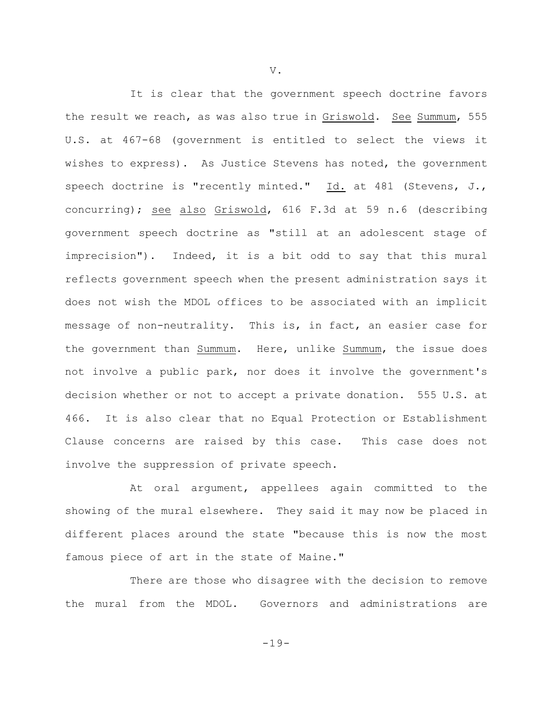It is clear that the government speech doctrine favors the result we reach, as was also true in Griswold. See Summum, 555 U.S. at 467-68 (government is entitled to select the views it wishes to express). As Justice Stevens has noted, the government speech doctrine is "recently minted." Id. at 481 (Stevens, J., concurring); see also Griswold, 616 F.3d at 59 n.6 (describing government speech doctrine as "still at an adolescent stage of imprecision"). Indeed, it is a bit odd to say that this mural reflects government speech when the present administration says it does not wish the MDOL offices to be associated with an implicit message of non-neutrality. This is, in fact, an easier case for the government than Summum. Here, unlike Summum, the issue does not involve a public park, nor does it involve the government's decision whether or not to accept a private donation. 555 U.S. at 466. It is also clear that no Equal Protection or Establishment Clause concerns are raised by this case. This case does not involve the suppression of private speech.

At oral argument, appellees again committed to the showing of the mural elsewhere. They said it may now be placed in different places around the state "because this is now the most famous piece of art in the state of Maine."

There are those who disagree with the decision to remove the mural from the MDOL. Governors and administrations are

V.

-19-